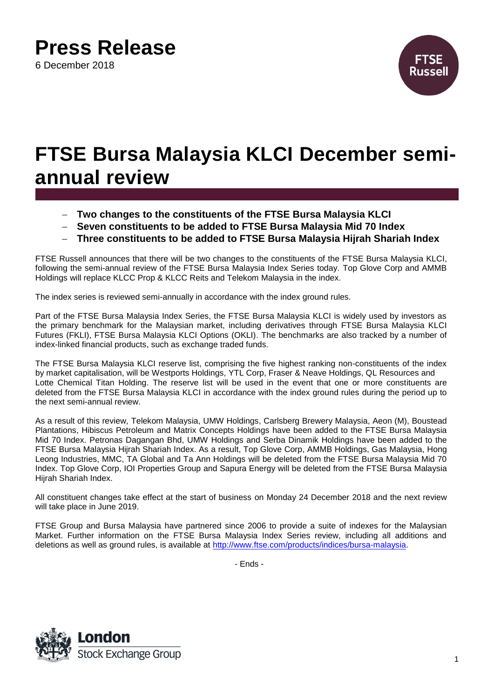## **Press Release**

6 December 2018



## **FTSE Bursa Malaysia KLCI December semiannual review**

- **Two changes to the constituents of the FTSE Bursa Malaysia KLCI**
- **Seven constituents to be added to FTSE Bursa Malaysia Mid 70 Index**
- **Three constituents to be added to FTSE Bursa Malaysia Hijrah Shariah Index**

FTSE Russell announces that there will be two changes to the constituents of the FTSE Bursa Malaysia KLCI, following the semi-annual review of the FTSE Bursa Malaysia Index Series today. Top Glove Corp and AMMB Holdings will replace KLCC Prop & KLCC Reits and Telekom Malaysia in the index.

The index series is reviewed semi-annually in accordance with the index ground rules.

Part of the FTSE Bursa Malaysia Index Series, the FTSE Bursa Malaysia KLCI is widely used by investors as the primary benchmark for the Malaysian market, including derivatives through FTSE Bursa Malaysia KLCI Futures (FKLI), FTSE Bursa Malaysia KLCI Options (OKLI). The benchmarks are also tracked by a number of index-linked financial products, such as exchange traded funds.

The FTSE Bursa Malaysia KLCI reserve list, comprising the five highest ranking non-constituents of the index by market capitalisation, will be Westports Holdings, YTL Corp, Fraser & Neave Holdings, QL Resources and Lotte Chemical Titan Holding. The reserve list will be used in the event that one or more constituents are deleted from the FTSE Bursa Malaysia KLCI in accordance with the index ground rules during the period up to the next semi-annual review.

As a result of this review, Telekom Malaysia, UMW Holdings, Carlsberg Brewery Malaysia, Aeon (M), Boustead Plantations, Hibiscus Petroleum and Matrix Concepts Holdings have been added to the FTSE Bursa Malaysia Mid 70 Index. Petronas Dagangan Bhd, UMW Holdings and Serba Dinamik Holdings have been added to the FTSE Bursa Malaysia Hijrah Shariah Index. As a result, Top Glove Corp, AMMB Holdings, Gas Malaysia, Hong Leong Industries, MMC, TA Global and Ta Ann Holdings will be deleted from the FTSE Bursa Malaysia Mid 70 Index. Top Glove Corp, IOI Properties Group and Sapura Energy will be deleted from the FTSE Bursa Malaysia Hijrah Shariah Index.

All constituent changes take effect at the start of business on Monday 24 December 2018 and the next review will take place in June 2019.

FTSE Group and Bursa Malaysia have partnered since 2006 to provide a suite of indexes for the Malaysian Market. Further information on the FTSE Bursa Malaysia Index Series review, including all additions and deletions as well as ground rules, is available at [http://www.ftse.com/products/indices/bursa-malaysia.](http://www.ftse.com/products/indices/bursa-malaysia)

- Ends -